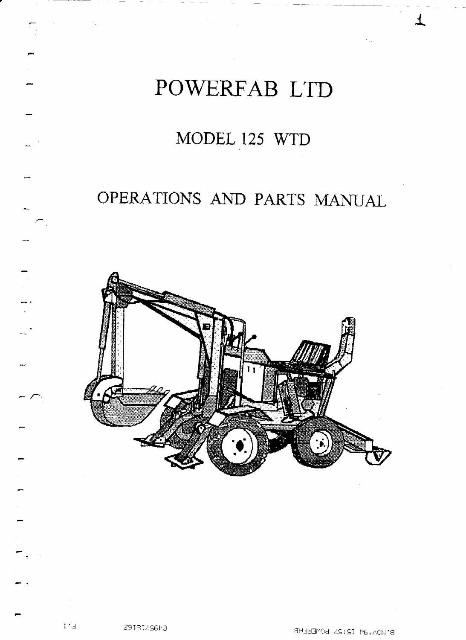

# MODEL 125 WTD

# OPERATIONS AND PARTS MANUAL



L

Z9I8IZS6t0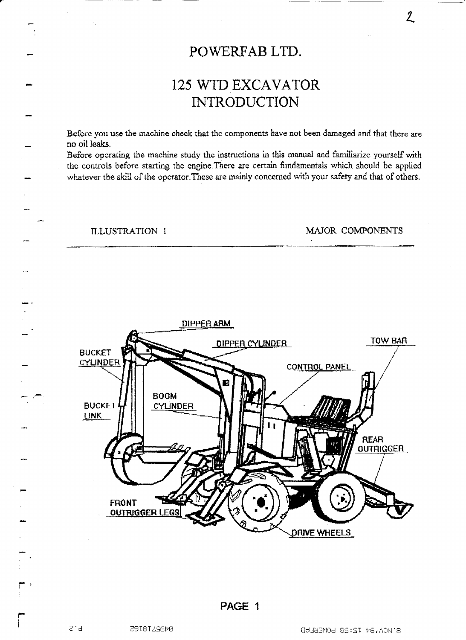## POWERFAB LTD.

# 125 WTD EXCAVATOR **INTRODUCTION**

Before you use the machine check that the components have not been damaged and that there are no oil leaks.

Before operating the machine study the instructions in this manual and familiarize yourself with the controls before starting the engine.There are certain fundamentals which should he applied whatever the skill of the operator.These are mainly concerned with your safety and that of others.

#### ILLUSTRATION I MAJOR COMPONENTS

 $2\overline{)}$ 



**r-** 

a'd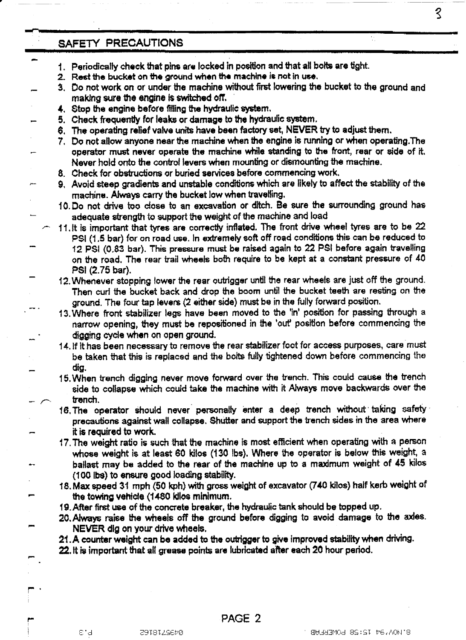$\mathcal{S}$ 

÷.

### **SAFETY PRECAUTIONS**

سير

- **Periodically check that pins are locked in position and that all botts are light.**
- **2. Rest the bucket on the ground when the machine is not in use.**
- **3, Do not work on or under the machine without first lowering the bucket to the ground and making sure the engine is switched off.** 
	- **4. Stop the engine before tilling the hydraulic system.**
- **5. Check frequently for leaks or damage to the hydraulic system.**
- **8. The operating relief valve units have been factory set, NEVER try to adjust them.**
- **7. Do not allow anyone near the machine when the engine is running or when operafing.The operator must never operate the machine while standing to the front, rear or side of it. Never hold onto the control levers when mounting or dismounting the machine.**
- **8. Check for obstructions or buried services before commencing work.**
- **9, Avoid steep gradients and unstable conditions which are likely to affect the stability of the**   $m$ achine. Always carry the bucket low when travelling.
- **10. Do not drive too close to an excavation or ditch. Be sure the surrounding ground has adequate strength to support the weight of the machine and load**
- **11 . It is important that tyres are correctly inflated. The front drive wheel tyres are to be 22 PSI (1.5 bar) for on road use. In extremely soft off road conditions this can be reduced to 12 PSI (0.83 bar). This pressure must be raised again to 22 PSI before again travelling on the road. The rear trail wheels both require to be kept at a constant pressure of 40 PSI (2.75 bar).**
- **12. Whenever stopping lower the rear outrigger until the rear wheels are just off the ground. Then curl the bucket back and drop the boom until the bucket teeth are resting on the ground. The four tap levers (2 either side) must be in the fully forward position.**
- **13. Where front stabilizer legs have been moved to the 'in' position for passing through a narrow opening, they must be repositioned in the 'out' position before commencing the digging cycle when on open ground.**
- **14. if it has been necessary to remove the rear stabilizer foot for access purposes, care must be taken that this is replaced and the bolts fully lightened down before commencing the dig.**
- **15. When trench digging never move forward over the trench. This could cause the trench side to collapse which could take the machine with it Always move backwards over the trench.**
- **18, The operator should never personally inter a deep trench without taking safety precautions against wall collapse. Shutter and support the trench sides in the area where it is required to work.**
- **17. The weight ratio is such that the machine is most efficient when operating with a person whose weight is at least 60 kilos (130 Ibs). Where the operator is below this weight, a ballast may be added to the rear of the machine up to a maximum weight of 45 kilos (100 lbs) to ensure good loading stability.**
- **18. Max speed 31 mph (50 kph) with gross weight of excavator (740 kilos) half kerb weight of the towing vehicle (1480 kilos minimum.**
- **19. After first use of the concrete breaker, the hydraulic tank should be topped up.**
- **20. Always raise the wheels off the ground before digging to avoid damage to the axles. NEVER dig on your drive wheels.**
- **21.A counter weight can be added to the outrigger to give improved stability when driving.**
- **22. it is important that all grease points are lubricated after each 20 hour period.**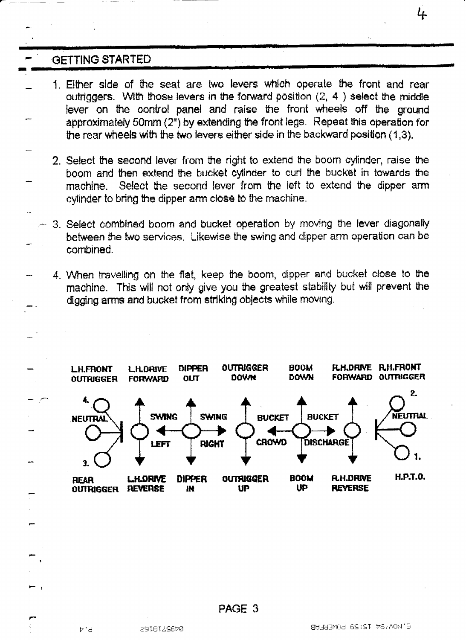## **.GETTING STARTED**

- 1. Either side of the seat are two levers which operate the front and rear outriggers. With those levers in the forward position  $(2, 4)$  select the middle lever on the control panel and raise the front wheels off the ground approximately 50mm (2") by extending the front legs\_ Repeat this operation for the rear wheels with the two levers either side in the backward position (1,3).
	- 2. Select the second lever from the right to extend the boom cylinder, raise the boom and then extend the bucket cylinder to curl the bucket in towards the machine. Select the second lever from the left to extend the dipper arm cylinder to bring the dipper arm close to the machine.
	- 3. Select combined boom and bucket operation by moving the lever diagonally between the two services. Likewise the swing and dipper arm operation can be combined.
- 4. When travelling on the flat, keep the boom, dipper and bucket close to the machine. This will not only give you the greatest stability but will prevent the digging arms and bucket from striking objects while moving.



PAGE 3

þid

4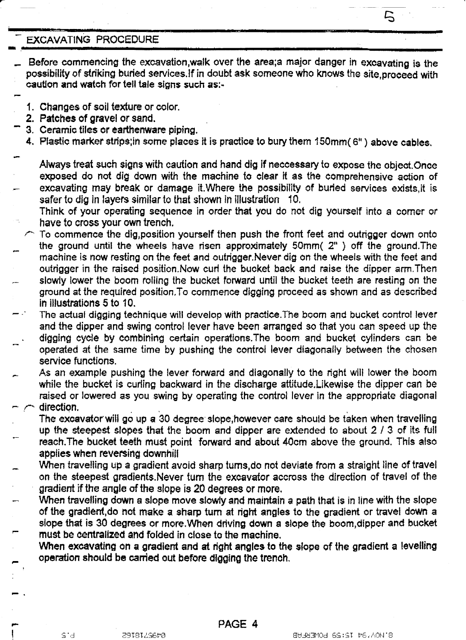#### **EXCAVATING PROCEDURE**

- **Before commencing the excavation,walk over the area;a major danger in excavating is the possibility of striking buried services.lf in doubt ask someone who knows the site,proceed with caution and watch for tell tale signs such as:-**
- **1. Changes of soil texture or color.**
- **2. Patches of gravel or sand.**
- **3. Ceramic tiles or earthenware piping.**
- **4. Plastic marker strips;in some places it is practice to bury them 150mm( 0") above cables.**
- **Always treat such signs with caution and hand dig if neccessary to expose the object.Once exposed do not dig down with the machine to clear it as the comprehensive action of excavating may break or damage it.Where the possibility of buried services exists,it is safer to dig in layers similar to that shown in illustration 10.**
- **Think of your operating sequence in order that you do not dig yourself into a corner or have to cross your own trench.**
- **To commence the dig,position yourself then push the front feet and outrigger down onto the ground until the wheels have risen approximately 50mm( 2" ) off the ground.The machine is now resting on the feet and outrigger.Never dig on the wheels with the feet and outrigger in the raised position.Now curl the bucket back and raise the dipper arm.Then - slowly lower the boom rolling the bucket forward until the bucket teeth are resting on the ground at the required position.To commence digging proceed as shown and as described in illustrations 5 to 10.**
- **The actual digging technique will develop with practice.The boom and bucket control lever and the dipper and swing control lever have been arranged so that you can speed up the . digging cycle by combining certain operations.The boom and bucket cylinders can be operated at the same time by pushing the control lever diagonally between the chosen service functions.**
- **As an example pushing the lever forward and diagonally to the right will lower the boom while the bucket is curling backward in the discharge attitude.Likewise the dipper can be raised or lowered as you swing by operating the control lever in the appropriate diagonal - direction.** 
	- The excavator will go up a 30 degree slope,however care should be taken when travelling **up the steepest slopes that the boom and dipper are extended to about 2 / 3 of its full reach,The bucket teeth must point forward and about 40cm above the ground. This also applies when reversing downhill**
- **When travelling up a gradient avoid sharp tums,do not deviate from a straight line of travel on the steepest gradients.Never turn the excavator accross the direction of travel of the gradient if the angle of the slope is 20 degrees or more.**
- **When travelling down a slope move slowly and maintain a path that is in line with the slope of the gradient,do not make a sharp turn at right angles to the gradient or travel down a slope that is 30 degrees or more.When driving down a slope the boom,dipper and bucket must be centralized and folded in close to the machine.** 
	- **When excavating on a gradient and at right angles to the slope of the gradient a levelling operation should be carried out before digging the trench.**

 $\mathsf{S}$ 

**pm.**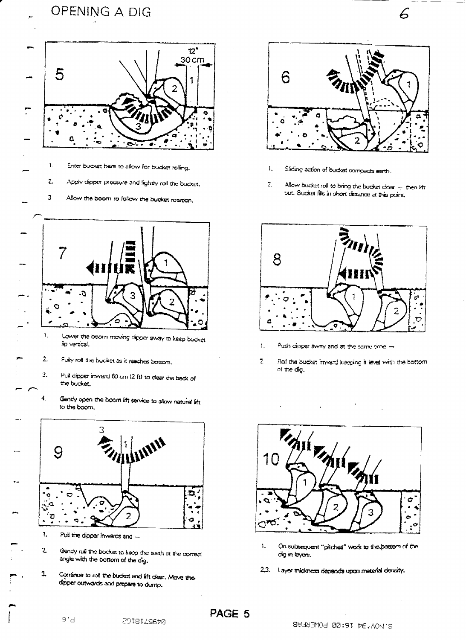



 $\mathbf{I}$ . Enter bucket here to allow for bucket rolling.

 $\mathbf{z}$ Apply dipper pressure and fightly roll the bucket.

3 Allow the boom to follow the bucket rotation.



Lower the boom moving dipper away to keep bucket lip vertical.

- 2. Fully roll the bucket as it reaches bottom.
- $\overline{3}$ . Pull dipper inward 60 cm (2 ft) to deer the back of the bucket.

Gently open the boom lift service to allow natural lift. to the boom,



- Pull the dipper inwards and -
- $\overline{c}$ Gendy roll the bucket to keep the teeth at the comect angle with the bottom of the dig.
- Continue to rot the bucket and lift clear. Move the ı dipper outwards and prepare to dump.

8918129670



 $\mathcal{L}% _{G}$ 

- $\mathbf{1}_{\star}$ Sliding action of bucket compacts earth.
- $\overline{z}$ . Allow bucket roll to bring the bucket cloar - then lift out. Bucket fils in short distance at this point.



- T. Push dioper away and at the same time -
- $\overline{z}$ Rall the bucket inward keeping it level with the bottom of the dig.



- ĩ., On subsequent "pitches" work to the bottom of the dig in layers.
- $2,3$ . Layer thickness depends upon material density.

PAGE 5

 $\ddot{ }$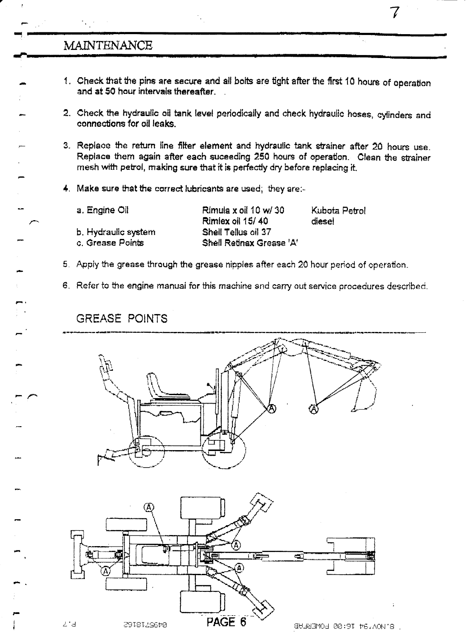## MAINTENANCE

1. Check that the pins are secure and all bolts are tight after the first 10 hours of operation and at 50 hour intervals thereafter\_

mllaammup IMMO.

- 2. Check the hydraulic oil tank level periodically and check hydraulic hoses, cylinders and connections for oil leaks.
- 3. Replace the return fine filter element and hydraulic tank strainer after 20 hours use. Replace them again after each suceeding 250 hours of operation. Clean the strainer mesh with petrol, making sure that it is perfectly dry before replacing ft.
- 4, Make sure that the correct lubricants are used; they are:-

| a. Engine Oil       | Rimula x oil 10 w/ 30<br>Rimlex oil 15/40 | Kubota Petrol<br>diese! |
|---------------------|-------------------------------------------|-------------------------|
| b. Hydraulic system | Shell Tellus oil 37                       |                         |
| c. Grease Points    | Shell Retinax Grease 'A'                  |                         |
|                     |                                           |                         |

- 5. Apply the grease through the grease nipples after each 20 hour period of operation\_
- 6. Refer to the engine manual for this machine and carry out service procedures described\_